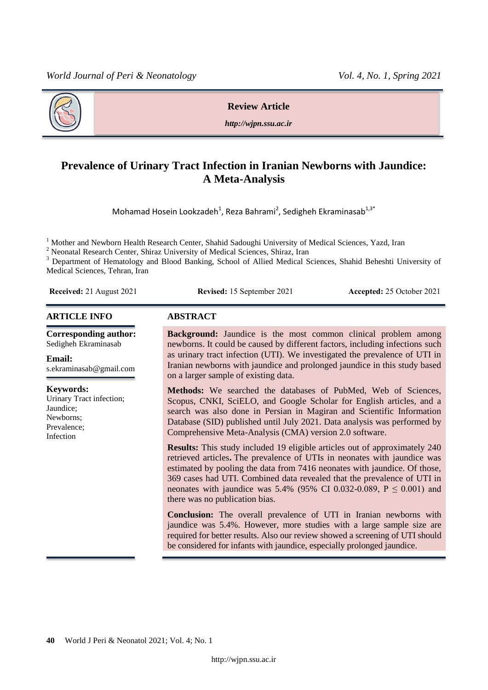

**Review Article**

*http://wjpn.ssu.ac.ir*

# **Prevalence of Urinary Tract Infection in Iranian Newborns with Jaundice: A Meta-Analysis**

Mohamad Hosein Lookzadeh<sup>1</sup>, Reza Bahrami<sup>2</sup>, Sedigheh Ekraminasab<sup>1,3\*</sup>

<sup>1</sup> Mother and Newborn Health Research Center, Shahid Sadoughi University of Medical Sciences, Yazd, Iran

<sup>2</sup> Neonatal Research Center, Shiraz University of Medical Sciences, Shiraz, Iran

<sup>3</sup> Department of Hematology and Blood Banking, School of Allied Medical Sciences, Shahid Beheshti University of Medical Sciences, Tehran, Iran

**Received:** 21 August 2021 **Revised:** 15 September 2021 **Accepted:** 25 October 2021

## **ARTICLE INFO ABSTRACT**

**Corresponding author:** Sedigheh Ekraminasab

## **Email:**

s.ekraminasab@gmail.com

## **Keywords:**

Urinary Tract infection; Jaundice; Newborns; Prevalence; Infection

**Background:** Jaundice is the most common clinical problem among newborns. It could be caused by different factors, including infections such as urinary tract infection (UTI). We investigated the prevalence of UTI in Iranian newborns with jaundice and prolonged jaundice in this study based on a larger sample of existing data.

**Methods:** We searched the databases of PubMed, Web of Sciences, Scopus, CNKI, SciELO, and Google Scholar for English articles, and a search was also done in Persian in Magiran and Scientific Information Database (SID) published until July 2021. Data analysis was performed by Comprehensive Meta-Analysis (CMA) version 2.0 software.

**Results:** This study included 19 eligible articles out of approximately 240 retrieved articles**.** The prevalence of UTIs in neonates with jaundice was estimated by pooling the data from 7416 neonates with jaundice. Of those, 369 cases had UTI. Combined data revealed that the prevalence of UTI in neonates with jaundice was  $5.4\%$  (95% CI 0.032-0.089, P  $\leq$  0.001) and there was no publication bias.

**Conclusion:** The overall prevalence of UTI in Iranian newborns with jaundice was 5.4%. However, more studies with a large sample size are required for better results. Also our review showed a screening of UTI should be considered for infants with jaundice, especially prolonged jaundice.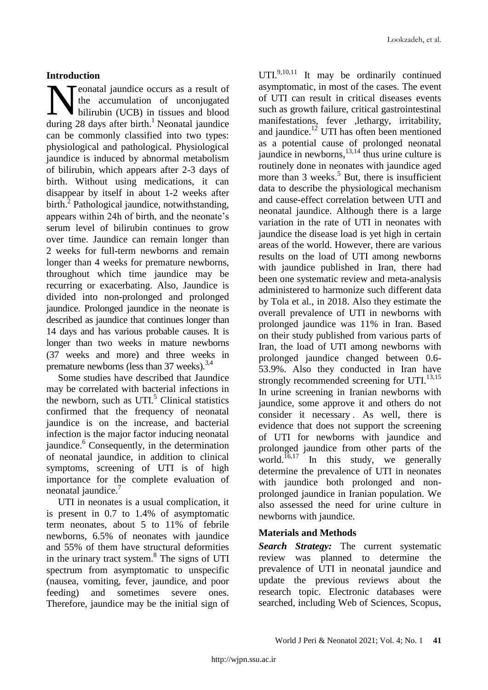# **Introduction**

**T** eonatal jaundice occurs as a result of the accumulation of unconjugated bilirubin (UCB) in tissues and blood **demon to the Separate Strate is a set of** the accumulation of unconjugated bilirubin (UCB) in tissues and blood during 28 days after birth.<sup>1</sup> Neonatal jaundice can be commonly classified into two types: physiological and pathological. Physiological jaundice is induced by abnormal metabolism of bilirubin, which appears after 2-3 days of birth. Without using medications, it can disappear by itself in about 1-2 weeks after birth.<sup>2</sup> Pathological jaundice, notwithstanding, appears within 24h of birth, and the neonate"s serum level of bilirubin continues to grow over time. Jaundice can remain longer than 2 weeks for full-term newborns and remain longer than 4 weeks for premature newborns, throughout which time jaundice may be recurring or exacerbating. Also, Jaundice is divided into non-prolonged and prolonged jaundice. Prolonged jaundice in the neonate is described as jaundice that continues longer than 14 days and has various probable causes. It is longer than two weeks in mature newborns (37 weeks and more) and three weeks in premature newborns (less than 37 weeks). $^{3,4}$ 

Some studies have described that Jaundice may be correlated with bacterial infections in the newborn, such as  $UTI<sup>5</sup>$  Clinical statistics confirmed that the frequency of neonatal jaundice is on the increase, and bacterial infection is the major factor inducing neonatal jaundice.<sup>6</sup> Consequently, in the determination of neonatal jaundice, in addition to clinical symptoms, screening of UTI is of high importance for the complete evaluation of neonatal jaundice.<sup>7</sup>

UTI in neonates is a usual complication, it is present in 0.7 to 1.4% of asymptomatic term neonates, about 5 to 11% of febrile newborns, 6.5% of neonates with jaundice and 55% of them have structural deformities in the urinary tract system.<sup>8</sup> The signs of UTI spectrum from asymptomatic to unspecific (nausea, vomiting, fever, jaundice, and poor feeding) and sometimes severe ones. Therefore, jaundice may be the initial sign of

UTI. $9,10,11$  It may be ordinarily continued asymptomatic, in most of the cases. The event of UTI can result in critical diseases events such as growth failure, critical gastrointestinal manifestations, fever ,lethargy, irritability, and jaundice. $^{12}$  UTI has often been mentioned as a potential cause of prolonged neonatal jaundice in newborns, 13,14 thus urine culture is routinely done in neonates with jaundice aged more than 3 weeks.<sup>5</sup> But, there is insufficient data to describe the physiological mechanism and cause-effect correlation between UTI and neonatal jaundice. Although there is a large variation in the rate of UTI in neonates with jaundice the disease load is yet high in certain areas of the world. However, there are various results on the load of UTI among newborns with jaundice published in Iran, there had been one systematic review and meta-analysis administered to harmonize such different data by Tola et al., in 2018. Also they estimate the overall prevalence of UTI in newborns with prolonged jaundice was 11% in Iran. Based on their study published from various parts of Iran, the load of UTI among newborns with prolonged jaundice changed between 0.6- 53.9%. Also they conducted in Iran have strongly recommended screening for UTI. $^{13,15}$ In urine screening in Iranian newborns with jaundice, some approve it and others do not consider it necessary . As well, there is evidence that does not support the screening of UTI for newborns with jaundice and prolonged jaundice from other parts of the world.<sup>16,17</sup> In this study, we generally determine the prevalence of UTI in neonates with jaundice both prolonged and nonprolonged jaundice in Iranian population. We also assessed the need for urine culture in newborns with jaundice.

# **Materials and Methods**

*Search Strategy:* The current systematic review was planned to determine the prevalence of UTI in neonatal jaundice and update the previous reviews about the research topic. Electronic databases were searched, including Web of Sciences, Scopus,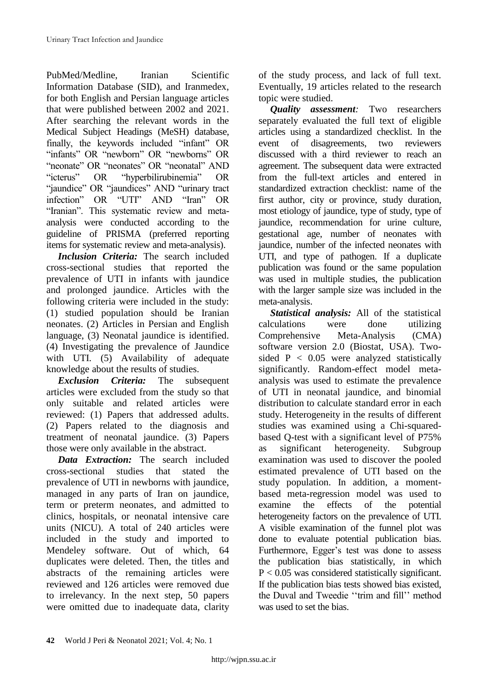PubMed/Medline, Iranian Scientific Information Database (SID), and Iranmedex, for both English and Persian language articles that were published between 2002 and 2021. After searching the relevant words in the Medical Subject Headings (MeSH) database, finally, the keywords included "infant" OR "infants" OR "newborn" OR "newborns" OR "neonate" OR "neonates" OR "neonatal" AND "icterus" OR "hyperbilirubinemia" OR "jaundice" OR "jaundices" AND "urinary tract infection" OR "UTI" AND "Iran" OR "Iranian". This systematic review and metaanalysis were conducted according to the guideline of PRISMA (preferred reporting items for systematic review and meta-analysis).

*Inclusion Criteria:* The search included cross-sectional studies that reported the prevalence of UTI in infants with jaundice and prolonged jaundice. Articles with the following criteria were included in the study: (1) studied population should be Iranian neonates. (2) Articles in Persian and English language, (3) Neonatal jaundice is identified. (4) Investigating the prevalence of Jaundice with UTI. (5) Availability of adequate knowledge about the results of studies.

*Exclusion Criteria:* The subsequent articles were excluded from the study so that only suitable and related articles were reviewed: (1) Papers that addressed adults. (2) Papers related to the diagnosis and treatment of neonatal jaundice. (3) Papers those were only available in the abstract.

*Data Extraction:* The search included cross-sectional studies that stated the prevalence of UTI in newborns with jaundice, managed in any parts of Iran on jaundice, term or preterm neonates, and admitted to clinics, hospitals, or neonatal intensive care units (NICU). A total of 240 articles were included in the study and imported to Mendeley software. Out of which, 64 duplicates were deleted. Then, the titles and abstracts of the remaining articles were reviewed and 126 articles were removed due to irrelevancy. In the next step, 50 papers were omitted due to inadequate data, clarity of the study process, and lack of full text. Eventually, 19 articles related to the research topic were studied.

*Quality assessment:* Two researchers separately evaluated the full text of eligible articles using a standardized checklist. In the event of disagreements, two reviewers discussed with a third reviewer to reach an agreement. The subsequent data were extracted from the full-text articles and entered in standardized extraction checklist: name of the first author, city or province, study duration, most etiology of jaundice, type of study, type of jaundice, recommendation for urine culture, gestational age, number of neonates with jaundice, number of the infected neonates with UTI, and type of pathogen. If a duplicate publication was found or the same population was used in multiple studies, the publication with the larger sample size was included in the meta-analysis.

*Statistical analysis:* All of the statistical calculations were done utilizing Comprehensive Meta-Analysis (CMA) software version 2.0 (Biostat, USA). Twosided  $P < 0.05$  were analyzed statistically significantly. Random-effect model metaanalysis was used to estimate the prevalence of UTI in neonatal jaundice, and binomial distribution to calculate standard error in each study. Heterogeneity in the results of different studies was examined using a Chi-squaredbased Q-test with a significant level of P75% as significant heterogeneity. Subgroup examination was used to discover the pooled estimated prevalence of UTI based on the study population. In addition, a momentbased meta-regression model was used to examine the effects of the potential heterogeneity factors on the prevalence of UTI. A visible examination of the funnel plot was done to evaluate potential publication bias. Furthermore, Egger's test was done to assess the publication bias statistically, in which P < 0.05 was considered statistically significant. If the publication bias tests showed bias existed, the Duval and Tweedie "trim and fill" method was used to set the bias.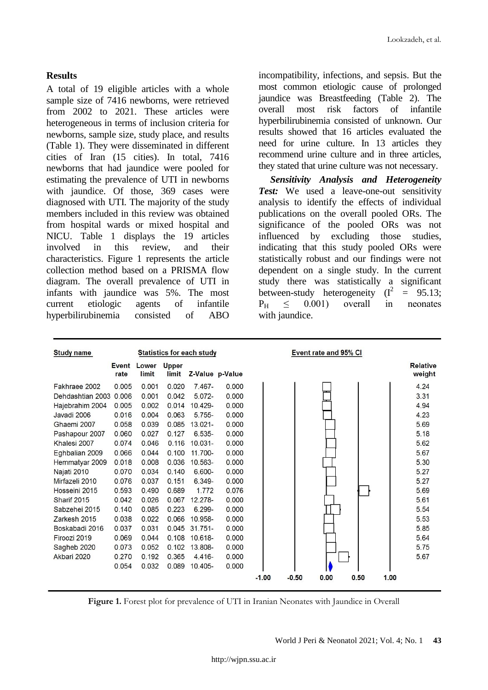## **Results**

A total of 19 eligible articles with a whole sample size of 7416 newborns, were retrieved from 2002 to 2021. These articles were heterogeneous in terms of inclusion criteria for newborns, sample size, study place, and results (Table 1). They were disseminated in different cities of Iran (15 cities). In total, 7416 newborns that had jaundice were pooled for estimating the prevalence of UTI in newborns with jaundice. Of those, 369 cases were diagnosed with UTI. The majority of the study members included in this review was obtained from hospital wards or mixed hospital and NICU. Table 1 displays the 19 articles involved in this review, and their characteristics. Figure 1 represents the article collection method based on a PRISMA flow diagram. The overall prevalence of UTI in infants with jaundice was 5%. The most current etiologic agents of infantile hyperbilirubinemia consisted of ABO

incompatibility, infections, and sepsis. But the most common etiologic cause of prolonged jaundice was Breastfeeding (Table 2). The overall most risk factors of infantile hyperbilirubinemia consisted of unknown. Our results showed that 16 articles evaluated the need for urine culture. In 13 articles they recommend urine culture and in three articles, they stated that urine culture was not necessary.

*Sensitivity Analysis and Heterogeneity Test:* We used a leave-one-out sensitivity analysis to identify the effects of individual publications on the overall pooled ORs. The significance of the pooled ORs was not influenced by excluding those studies, indicating that this study pooled ORs were statistically robust and our findings were not dependent on a single study. In the current study there was statistically a significant between-study heterogeneity  $(I^2)$  $= 95.13;$  $P_H \leq 0.001$  overall in neonates with jaundice.

| <b>Study name</b> | <b>Statistics for each study</b> |                |                |            | Event rate and 95% CI |         |         |      |      |      |                           |
|-------------------|----------------------------------|----------------|----------------|------------|-----------------------|---------|---------|------|------|------|---------------------------|
|                   | Event<br>rate                    | Lower<br>limit | Upper<br>limit |            | Z-Value p-Value       |         |         |      |      |      | <b>Relative</b><br>weight |
| Fakhraee 2002     | 0.005                            | 0.001          | 0.020          | $7.467 -$  | 0.000                 |         |         |      |      |      | 4.24                      |
| Dehdashtian 2003  | 0.006                            | 0.001          | 0.042          | $5.072 -$  | 0.000                 |         |         |      |      |      | 3.31                      |
| Hajebrahim 2004   | 0.005                            | 0.002          | 0.014          | 10.429-    | 0.000                 |         |         |      |      |      | 4.94                      |
| Javadi 2006       | 0.016                            | 0.004          | 0.063          | $5.755-$   | 0.000                 |         |         |      |      |      | 4.23                      |
| Ghaemi 2007       | 0.058                            | 0.039          | 0.085          | $13.021 -$ | 0.000                 |         |         |      |      |      | 5.69                      |
| Pashapour 2007    | 0.060                            | 0.027          | 0.127          | $6.535 -$  | 0.000                 |         |         |      |      |      | 5.18                      |
| Khalesi 2007      | 0.074                            | 0.046          | 0.116          | $10.031 -$ | 0.000                 |         |         |      |      |      | 5.62                      |
| Eghbalian 2009    | 0.066                            | 0.044          | 0.100          | 11.700-    | 0.000                 |         |         |      |      |      | 5.67                      |
| Hemmatyar 2009    | 0.018                            | 0.008          | 0.036          | 10.563-    | 0.000                 |         |         |      |      |      | 5.30                      |
| Najati 2010       | 0.070                            | 0.034          | 0.140          | 6.600-     | 0.000                 |         |         |      |      |      | 5.27                      |
| Mirfazeli 2010    | 0.076                            | 0.037          | 0.151          | 6.349-     | 0.000                 |         |         |      |      |      | 5.27                      |
| Hosseini 2015     | 0.593                            | 0.490          | 0.689          | 1.772      | 0.076                 |         |         |      |      |      | 5.69                      |
| Sharif 2015       | 0.042                            | 0.026          | 0.067          | $12.278 -$ | 0.000                 |         |         |      |      |      | 5.61                      |
| Sabzehei 2015     | 0.140                            | 0.085          | 0.223          | $6.299 -$  | 0.000                 |         |         |      |      |      | 5.54                      |
| Zarkesh 2015      | 0.038                            | 0.022          | 0.066          | 10.958-    | 0.000                 |         |         |      |      |      | 5.53                      |
| Boskabadi 2016    | 0.037                            | 0.031          | 0.045          | $31.751 -$ | 0.000                 |         |         |      |      |      | 5.85                      |
| Firoozi 2019      | 0.069                            | 0.044          | 0.108          | 10.618-    | 0.000                 |         |         |      |      |      | 5.64                      |
| Sagheb 2020       | 0.073                            | 0.052          | 0.102          | 13.808-    | 0.000                 |         |         |      |      |      | 5.75                      |
| Akbari 2020       | 0.270                            | 0.192          | 0.365          | $4.416 -$  | 0.000                 |         |         |      |      |      | 5.67                      |
|                   | 0.054                            | 0.032          | 0.089          | 10.405-    | 0.000                 |         |         |      |      |      |                           |
|                   |                                  |                |                |            |                       | $-1.00$ | $-0.50$ | 0.00 | 0.50 | 1.00 |                           |

**Figure 1.** Forest plot for prevalence of UTI in Iranian Neonates with Jaundice in Overall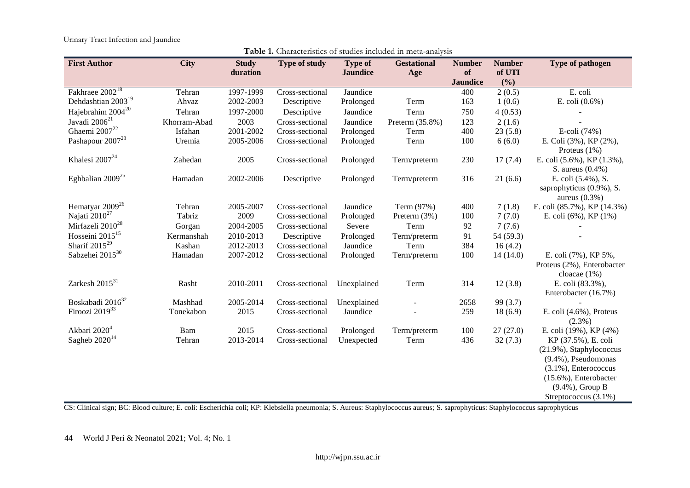Urinary Tract Infection and Jaundice

| <b>First Author</b>            | <b>City</b>  | <b>Study</b> | <b>Type of study</b> | <b>Type of</b>  | <b>Gestational</b> | <b>Number</b>   | <b>Number</b> | Type of pathogen                                                   |
|--------------------------------|--------------|--------------|----------------------|-----------------|--------------------|-----------------|---------------|--------------------------------------------------------------------|
|                                |              | duration     |                      | <b>Jaundice</b> | Age                | of              | of UTI        |                                                                    |
|                                |              |              |                      |                 |                    | <b>Jaundice</b> | (%)           |                                                                    |
| Fakhraee 2002 <sup>18</sup>    | Tehran       | 1997-1999    | Cross-sectional      | Jaundice        |                    | 400             | 2(0.5)        | E. coli                                                            |
| Dehdashtian 2003 <sup>19</sup> | Ahvaz        | 2002-2003    | Descriptive          | Prolonged       | Term               | 163             | 1(0.6)        | E. coli (0.6%)                                                     |
| Hajebrahim 2004 <sup>20</sup>  | Tehran       | 1997-2000    | Descriptive          | Jaundice        | Term               | 750             | 4(0.53)       |                                                                    |
| Javadi 2006 <sup>21</sup>      | Khorram-Abad | 2003         | Cross-sectional      | Jaundice        | Preterm (35.8%)    | 123             | 2(1.6)        |                                                                    |
| Ghaemi $2007^{22}$             | Isfahan      | 2001-2002    | Cross-sectional      | Prolonged       | Term               | 400             | 23(5.8)       | E-coli (74%)                                                       |
| Pashapour 2007 <sup>23</sup>   | Uremia       | 2005-2006    | Cross-sectional      | Prolonged       | Term               | 100             | 6(6.0)        | E. Coli (3%), KP (2%),<br>Proteus $(1%)$                           |
| Khalesi 2007 <sup>24</sup>     | Zahedan      | 2005         | Cross-sectional      | Prolonged       | Term/preterm       | 230             | 17(7.4)       | E. coli (5.6%), KP (1.3%),<br>S. aureus $(0.4\%)$                  |
| Eghbalian $2009^{25}$          | Hamadan      | 2002-2006    | Descriptive          | Prolonged       | Term/preterm       | 316             | 21(6.6)       | E. coli (5.4%), S.<br>saprophyticus (0.9%), S.<br>aureus $(0.3\%)$ |
| Hematyar 2009 <sup>26</sup>    | Tehran       | 2005-2007    | Cross-sectional      | Jaundice        | Term (97%)         | 400             | 7(1.8)        | E. coli (85.7%), KP (14.3%)                                        |
| Najati 2010 <sup>27</sup>      | Tabriz       | 2009         | Cross-sectional      | Prolonged       | Preterm (3%)       | 100             | 7(7.0)        | E. coli (6%), KP (1%)                                              |
| Mirfazeli 2010 <sup>28</sup>   | Gorgan       | 2004-2005    | Cross-sectional      | Severe          | Term               | 92              | 7(7.6)        |                                                                    |
| Hosseini $2015^{15}$           | Kermanshah   | 2010-2013    | Descriptive          | Prolonged       | Term/preterm       | 91              | 54 (59.3)     |                                                                    |
| Sharif $2015^{29}$             | Kashan       | 2012-2013    | Cross-sectional      | Jaundice        | Term               | 384             | 16(4.2)       |                                                                    |
| Sabzehei 2015 <sup>30</sup>    | Hamadan      | 2007-2012    | Cross-sectional      | Prolonged       | Term/preterm       | 100             | 14(14.0)      | E. coli (7%), KP 5%,                                               |
|                                |              |              |                      |                 |                    |                 |               | Proteus (2%), Enterobacter<br>cloacae $(1%)$                       |
| Zarkesh 2015 <sup>31</sup>     | Rasht        | 2010-2011    | Cross-sectional      | Unexplained     | Term               | 314             | 12(3.8)       | E. coli (83.3%),                                                   |
|                                |              |              |                      |                 |                    |                 |               | Enterobacter (16.7%)                                               |
| Boskabadi 2016 <sup>32</sup>   | Mashhad      | 2005-2014    | Cross-sectional      | Unexplained     |                    | 2658            | 99 (3.7)      |                                                                    |
| Firoozi 2019 <sup>33</sup>     | Tonekabon    | 2015         | Cross-sectional      | Jaundice        |                    | 259             | 18(6.9)       | E. coli $(4.6\%)$ , Proteus<br>$(2.3\%)$                           |
| Akbari 2020 <sup>4</sup>       | Bam          | 2015         | Cross-sectional      | Prolonged       | Term/preterm       | 100             | 27(27.0)      | E. coli (19%), KP (4%)                                             |
| Sagheb $2020^{14}$             | Tehran       | 2013-2014    | Cross-sectional      | Unexpected      | Term               | 436             | 32(7.3)       | KP (37.5%), E. coli                                                |
|                                |              |              |                      |                 |                    |                 |               | (21.9%), Staphylococcus                                            |
|                                |              |              |                      |                 |                    |                 |               | (9.4%), Pseudomonas                                                |
|                                |              |              |                      |                 |                    |                 |               | $(3.1\%)$ , Enterococcus                                           |
|                                |              |              |                      |                 |                    |                 |               | (15.6%), Enterobacter                                              |
|                                |              |              |                      |                 |                    |                 |               | $(9.4\%)$ , Group B                                                |
|                                |              |              |                      |                 |                    |                 |               | Streptococcus (3.1%)                                               |

**Table 1.** Characteristics of studies included in meta-analysis

CS: Clinical sign; BC: Blood culture; E. coli: Escherichia coli; KP: Klebsiella pneumonia; S. Aureus: Staphylococcus aureus; S. saprophyticus: Staphylococcus saprophyticus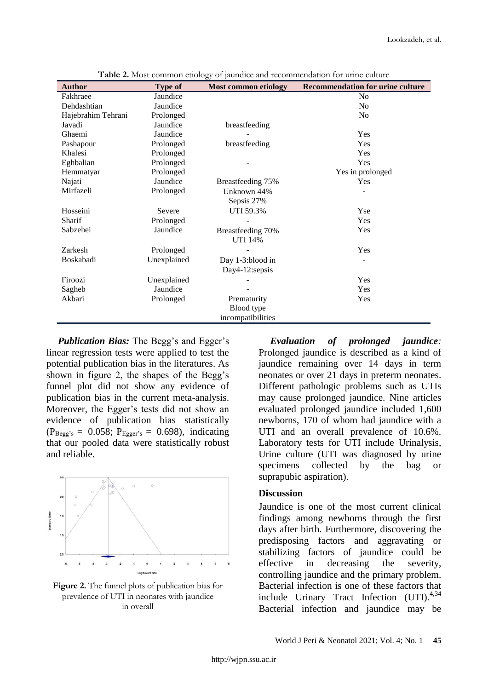| <b>Author</b>      | <b>Type of</b> | <b>Most common etiology</b> | <b>Recommendation for urine culture</b> |
|--------------------|----------------|-----------------------------|-----------------------------------------|
| Fakhraee           | Jaundice       |                             | N <sub>0</sub>                          |
| Dehdashtian        | Jaundice       |                             | N <sub>0</sub>                          |
| Hajebrahim Tehrani | Prolonged      |                             | N <sub>0</sub>                          |
| Javadi             | Jaundice       | breastfeeding               |                                         |
| Ghaemi             | Jaundice       |                             | Yes                                     |
| Pashapour          | Prolonged      | breastfeeding               | Yes                                     |
| Khalesi            | Prolonged      |                             | Yes                                     |
| Eghbalian          | Prolonged      |                             | Yes                                     |
| Hemmatyar          | Prolonged      |                             | Yes in prolonged                        |
| Najati             | Jaundice       | Breastfeeding 75%           | Yes                                     |
| Mirfazeli          | Prolonged      | Unknown 44%                 |                                         |
|                    |                | Sepsis 27%                  |                                         |
| Hosseini           | Severe         | UTI 59.3%                   | Yse                                     |
| Sharif             | Prolonged      |                             | Yes                                     |
| Sabzehei           | Jaundice       | Breastfeeding 70%           | Yes                                     |
|                    |                | UTI 14%                     |                                         |
| Zarkesh            | Prolonged      |                             | Yes                                     |
| Boskabadi          | Unexplained    | Day 1-3:blood in            |                                         |
|                    |                | Day4-12:sepsis              |                                         |
| Firoozi            | Unexplained    |                             | Yes                                     |
| Sagheb             | Jaundice       |                             | Yes                                     |
| Akbari             | Prolonged      | Prematurity                 | Yes                                     |
|                    |                | Blood type                  |                                         |
|                    |                | incompatibilities           |                                         |

**Table 2.** Most common etiology of jaundice and recommendation for urine culture

*Publication Bias:* The Begg's and Egger's linear regression tests were applied to test the potential publication bias in the literatures. As shown in figure 2, the shapes of the Begg's funnel plot did not show any evidence of publication bias in the current meta-analysis. Moreover, the Egger's tests did not show an evidence of publication bias statistically  $(P_{\text{Begg's}} = 0.058; P_{\text{Egger's}} = 0.698)$ , indicating that our pooled data were statistically robust and reliable.



**Figure 2.** The funnel plots of publication bias for prevalence of UTI in neonates with jaundice in overall

*Evaluation of prolonged jaundice:* Prolonged jaundice is described as a kind of jaundice remaining over 14 days in term neonates or over 21 days in preterm neonates. Different pathologic problems such as UTIs may cause prolonged jaundice. Nine articles evaluated prolonged jaundice included 1,600 newborns, 170 of whom had jaundice with a UTI and an overall prevalence of 10.6%. Laboratory tests for UTI include Urinalysis, Urine culture (UTI was diagnosed by urine specimens collected by the bag or suprapubic aspiration).

## **Discussion**

Jaundice is one of the most current clinical findings among newborns through the first days after birth. Furthermore, discovering the predisposing factors and aggravating or stabilizing factors of jaundice could be effective in decreasing the severity, controlling jaundice and the primary problem. Bacterial infection is one of these factors that include Urinary Tract Infection  $(UTI).^{4,34}$ Bacterial infection and jaundice may be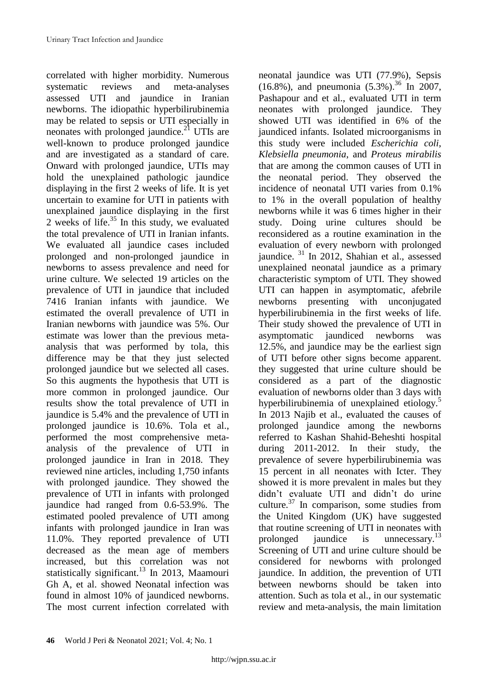correlated with higher morbidity. Numerous systematic reviews and meta-analyses assessed UTI and jaundice in Iranian newborns. The idiopathic hyperbilirubinemia may be related to sepsis or UTI especially in neonates with prolonged jaundice. $^{21}$  UTIs are well-known to produce prolonged jaundice and are investigated as a standard of care. Onward with prolonged jaundice, UTIs may hold the unexplained pathologic jaundice displaying in the first 2 weeks of life. It is yet uncertain to examine for UTI in patients with unexplained jaundice displaying in the first 2 weeks of life. $35$  In this study, we evaluated the total prevalence of UTI in Iranian infants. We evaluated all jaundice cases included prolonged and non-prolonged jaundice in newborns to assess prevalence and need for urine culture. We selected 19 articles on the prevalence of UTI in jaundice that included 7416 Iranian infants with jaundice. We estimated the overall prevalence of UTI in Iranian newborns with jaundice was 5%. Our estimate was lower than the previous metaanalysis that was performed by tola, this difference may be that they just selected prolonged jaundice but we selected all cases. So this augments the hypothesis that UTI is more common in prolonged jaundice. Our results show the total prevalence of UTI in jaundice is 5.4% and the prevalence of UTI in prolonged jaundice is 10.6%. Tola et al., performed the most comprehensive metaanalysis of the prevalence of UTI in prolonged jaundice in Iran in 2018. They reviewed nine articles, including 1,750 infants with prolonged jaundice. They showed the prevalence of UTI in infants with prolonged jaundice had ranged from 0.6-53.9%. The estimated pooled prevalence of UTI among infants with prolonged jaundice in Iran was 11.0%. They reported prevalence of UTI decreased as the mean age of members increased, but this correlation was not statistically significant.<sup>13</sup> In 2013, Maamouri Gh A, et al. showed Neonatal infection was found in almost 10% of jaundiced newborns. The most current infection correlated with

neonatal jaundice was UTI (77.9%), Sepsis  $(16.8\%)$ , and pneumonia  $(5.3\%)$ .<sup>36</sup> In 2007, Pashapour and et al., evaluated UTI in term neonates with prolonged jaundice. They showed UTI was identified in 6% of the jaundiced infants. Isolated microorganisms in this study were included *Escherichia coli*, *Klebsiella pneumonia*, and *Proteus mirabilis* that are among the common causes of UTI in the neonatal period. They observed the incidence of neonatal UTI varies from 0.1% to 1% in the overall population of healthy newborns while it was 6 times higher in their study. Doing urine cultures should be reconsidered as a routine examination in the evaluation of every newborn with prolonged jaundice. <sup>31</sup> In 2012, Shahian et al., assessed unexplained neonatal jaundice as a primary characteristic symptom of UTI. They showed UTI can happen in asymptomatic, afebrile newborns presenting with unconjugated hyperbilirubinemia in the first weeks of life. Their study showed the prevalence of UTI in asymptomatic jaundiced newborns was 12.5%, and jaundice may be the earliest sign of UTI before other signs become apparent. they suggested that urine culture should be considered as a part of the diagnostic evaluation of newborns older than 3 days with hyperbilirubinemia of unexplained etiology.<sup>5</sup> In 2013 Najib et al., evaluated the causes of prolonged jaundice among the newborns referred to Kashan Shahid-Beheshti hospital during 2011-2012. In their study, the prevalence of severe hyperbilirubinemia was 15 percent in all neonates with Icter. They showed it is more prevalent in males but they didn"t evaluate UTI and didn"t do urine culture.<sup>37</sup> In comparison, some studies from the United Kingdom (UK) have suggested that routine screening of UTI in neonates with prolonged jaundice is unnecessary.<sup>13</sup> Screening of UTI and urine culture should be considered for newborns with prolonged jaundice. In addition, the prevention of UTI between newborns should be taken into attention. Such as tola et al., in our systematic review and meta-analysis, the main limitation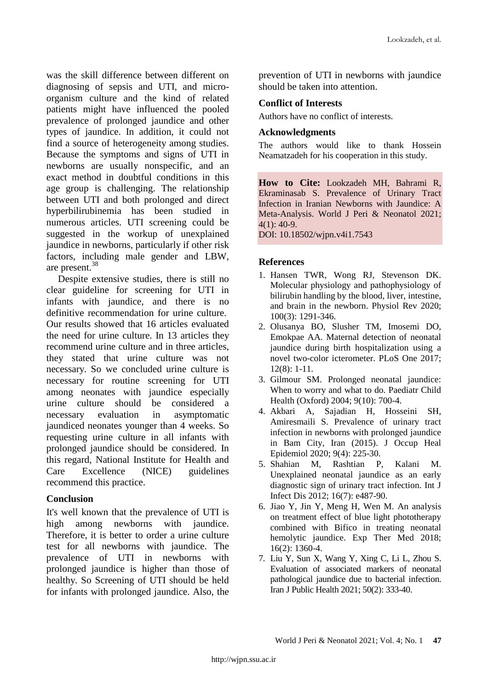was the skill difference between different on diagnosing of sepsis and UTI, and microorganism culture and the kind of related patients might have influenced the pooled prevalence of prolonged jaundice and other types of jaundice. In addition, it could not find a source of heterogeneity among studies. Because the symptoms and signs of UTI in newborns are usually nonspecific, and an exact method in doubtful conditions in this age group is challenging. The relationship between UTI and both prolonged and direct hyperbilirubinemia has been studied in numerous articles. UTI screening could be suggested in the workup of unexplained jaundice in newborns, particularly if other risk factors, including male gender and LBW, are present.<sup>38</sup>

Despite extensive studies, there is still no clear guideline for screening for UTI in infants with jaundice, and there is no definitive recommendation for urine culture. Our results showed that 16 articles evaluated the need for urine culture. In 13 articles they recommend urine culture and in three articles, they stated that urine culture was not necessary. So we concluded urine culture is necessary for routine screening for UTI among neonates with jaundice especially urine culture should be considered a necessary evaluation in asymptomatic jaundiced neonates younger than 4 weeks. So requesting urine culture in all infants with prolonged jaundice should be considered. In this regard, National Institute for Health and Care Excellence (NICE) guidelines recommend this practice.

# **Conclusion**

It's well known that the prevalence of UTI is high among newborns with jaundice. Therefore, it is better to order a urine culture test for all newborns with jaundice. The prevalence of UTI in newborns with prolonged jaundice is higher than those of healthy. So Screening of UTI should be held for infants with prolonged jaundice. Also, the

prevention of UTI in newborns with jaundice should be taken into attention.

# **Conflict of Interests**

Authors have no conflict of interests.

# **Acknowledgments**

The authors would like to thank Hossein Neamatzadeh for his cooperation in this study.

**How to Cite:** Lookzadeh MH, Bahrami R, Ekraminasab S. Prevalence of Urinary Tract Infection in Iranian Newborns with Jaundice: A Meta-Analysis. World J Peri & Neonatol 2021; 4(1): 40-9.

DOI: 10.18502/wjpn.v4i1.7543

# **References**

- 1. Hansen TWR, Wong RJ, Stevenson DK. Molecular physiology and pathophysiology of bilirubin handling by the blood, liver, intestine, and brain in the newborn. Physiol Rev 2020; 100(3): 1291-346.
- 2. Olusanya BO, Slusher TM, Imosemi DO, Emokpae AA. Maternal detection of neonatal jaundice during birth hospitalization using a novel two-color icterometer. PLoS One 2017; 12(8): 1-11.
- 3. Gilmour SM. Prolonged neonatal jaundice: When to worry and what to do. Paediatr Child Health (Oxford) 2004; 9(10): 700-4.
- 4. Akbari A, Sajadian H, Hosseini SH, Amiresmaili S. Prevalence of urinary tract infection in newborns with prolonged jaundice in Bam City, Iran (2015). J Occup Heal Epidemiol 2020; 9(4): 225-30.
- 5. Shahian M, Rashtian P, Kalani M. Unexplained neonatal jaundice as an early diagnostic sign of urinary tract infection. Int J Infect Dis 2012; 16(7): e487-90.
- 6. Jiao Y, Jin Y, Meng H, Wen M. An analysis on treatment effect of blue light phototherapy combined with Bifico in treating neonatal hemolytic jaundice. Exp Ther Med 2018; 16(2): 1360-4.
- 7. Liu Y, Sun X, Wang Y, Xing C, Li L, Zhou S. Evaluation of associated markers of neonatal pathological jaundice due to bacterial infection. Iran J Public Health 2021; 50(2): 333-40.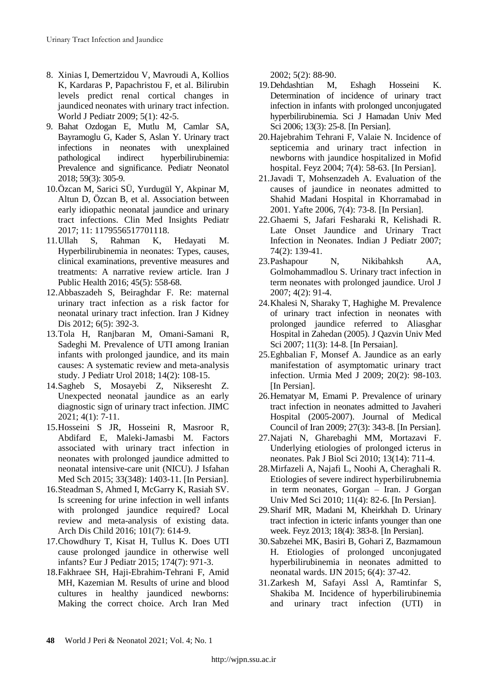- 8. Xinias I, Demertzidou V, Mavroudi A, Kollios K, Kardaras P, Papachristou F, et al. Bilirubin levels predict renal cortical changes in jaundiced neonates with urinary tract infection. World J Pediatr 2009; 5(1): 42-5.
- 9. Bahat Ozdogan E, Mutlu M, Camlar SA, Bayramoglu G, Kader S, Aslan Y. Urinary tract infections in neonates with unexplained pathological indirect hyperbilirubinemia: Prevalence and significance. Pediatr Neonatol 2018; 59(3): 305-9.
- 10.Özcan M, Sarici SÜ, Yurdugül Y, Akpinar M, Altun D, Özcan B, et al. Association between early idiopathic neonatal jaundice and urinary tract infections. Clin Med Insights Pediatr 2017; 11: 1179556517701118.
- 11.Ullah S, Rahman K, Hedayati M. Hyperbilirubinemia in neonates: Types, causes, clinical examinations, preventive measures and treatments: A narrative review article. Iran J Public Health 2016; 45(5): 558-68.
- 12.Abbaszadeh S, Beiraghdar F. Re: maternal urinary tract infection as a risk factor for neonatal urinary tract infection. Iran J Kidney Dis 2012; 6(5): 392-3.
- 13.Tola H, Ranjbaran M, Omani-Samani R, Sadeghi M. Prevalence of UTI among Iranian infants with prolonged jaundice, and its main causes: A systematic review and meta-analysis study. J Pediatr Urol 2018; 14(2): 108-15.
- 14.Sagheb S, Mosayebi Z, Nikseresht Z. Unexpected neonatal jaundice as an early diagnostic sign of urinary tract infection. JIMC 2021; 4(1): 7-11.
- 15.Hosseini S JR, Hosseini R, Masroor R, Abdifard E, Maleki-Jamasbi M. Factors associated with urinary tract infection in neonates with prolonged jaundice admitted to neonatal intensive-care unit (NICU). J Isfahan Med Sch 2015; 33(348): 1403-11. [In Persian].
- 16.Steadman S, Ahmed I, McGarry K, Rasiah SV. Is screening for urine infection in well infants with prolonged jaundice required? Local review and meta-analysis of existing data. Arch Dis Child 2016; 101(7): 614-9.
- 17.Chowdhury T, Kisat H, Tullus K. Does UTI cause prolonged jaundice in otherwise well infants? Eur J Pediatr 2015; 174(7): 971-3.
- 18.Fakhraee SH, Haji-Ebrahim-Tehrani F, Amid MH, Kazemian M. Results of urine and blood cultures in healthy jaundiced newborns: Making the correct choice. Arch Iran Med

2002; 5(2): 88-90.

- 19.Dehdashtian M, Eshagh Hosseini K. Determination of incidence of urinary tract infection in infants with prolonged unconjugated hyperbilirubinemia. Sci J Hamadan Univ Med Sci 2006; 13(3): 25-8. [In Persian].
- 20.Hajebrahim Tehrani F, Valaie N. Incidence of septicemia and urinary tract infection in newborns with jaundice hospitalized in Mofid hospital. Feyz 2004; 7(4): 58-63. [In Persian].
- 21.Javadi T, Mohsenzadeh A. Evaluation of the causes of jaundice in neonates admitted to Shahid Madani Hospital in Khorramabad in 2001. Yafte 2006, 7(4): 73-8. [In Persian].
- 22.Ghaemi S, Jafari Fesharaki R, Kelishadi R. Late Onset Jaundice and Urinary Tract Infection in Neonates. Indian J Pediatr 2007; 74(2): 139-41.
- 23.Pashapour N, Nikibahksh AA, Golmohammadlou S. Urinary tract infection in term neonates with prolonged jaundice. Urol J 2007; 4(2): 91-4.
- 24.Khalesi N, Sharaky T, Haghighe M. Prevalence of urinary tract infection in neonates with prolonged jaundice referred to Aliasghar Hospital in Zahedan (2005). J Qazvin Univ Med Sci 2007; 11(3): 14-8. [In Persaian].
- 25.Eghbalian F, Monsef A. Jaundice as an early manifestation of asymptomatic urinary tract infection. Urmia Med J 2009; 20(2): 98-103. [In Persian].
- 26.Hematyar M, Emami P. Prevalence of urinary tract infection in neonates admitted to Javaheri Hospital (2005-2007). Journal of Medical Council of Iran 2009; 27(3): 343-8. [In Persian].
- 27.Najati N, Gharebaghi MM, Mortazavi F. Underlying etiologies of prolonged icterus in neonates. Pak J Biol Sci 2010; 13(14): 711-4.
- 28.Mirfazeli A, Najafi L, Noohi A, Cheraghali R. Etiologies of severe indirect hyperbilirubnemia in term neonates, Gorgan – Iran. J Gorgan Univ Med Sci 2010; 11(4): 82-6. [In Persian].
- 29.Sharif MR, Madani M, Kheirkhah D. Urinary tract infection in icteric infants younger than one week. Feyz 2013; 18(4): 383-8. [In Persian].
- 30.Sabzehei MK, Basiri B, Gohari Z, Bazmamoun H. Etiologies of prolonged unconjugated hyperbilirubinemia in neonates admitted to neonatal wards. IJN 2015; 6(4): 37-42.
- 31.Zarkesh M, Safayi Assl A, Ramtinfar S, Shakiba M. Incidence of hyperbilirubinemia and urinary tract infection (UTI) in